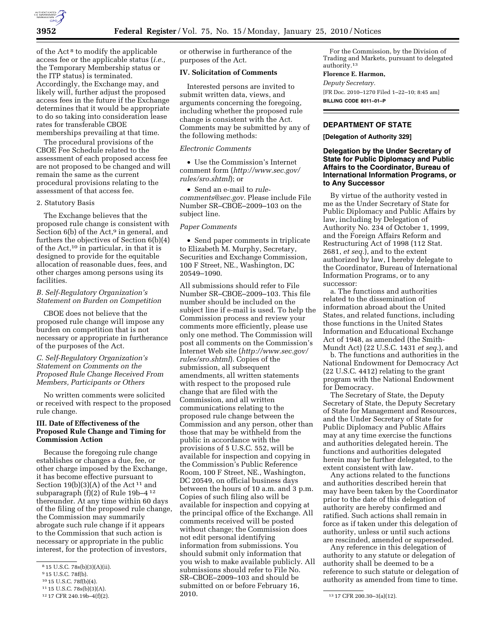

of the Act 8 to modify the applicable access fee or the applicable status (*i.e.,*  the Temporary Membership status or the ITP status) is terminated. Accordingly, the Exchange may, and likely will, further adjust the proposed access fees in the future if the Exchange determines that it would be appropriate to do so taking into consideration lease rates for transferable CBOE memberships prevailing at that time.

The procedural provisions of the CBOE Fee Schedule related to the assessment of each proposed access fee are not proposed to be changed and will remain the same as the current procedural provisions relating to the assessment of that access fee.

#### 2. Statutory Basis

The Exchange believes that the proposed rule change is consistent with Section  $6(b)$  of the Act,<sup>9</sup> in general, and furthers the objectives of Section 6(b)(4) of the Act,10 in particular, in that it is designed to provide for the equitable allocation of reasonable dues, fees, and other charges among persons using its facilities.

# *B. Self-Regulatory Organization's Statement on Burden on Competition*

CBOE does not believe that the proposed rule change will impose any burden on competition that is not necessary or appropriate in furtherance of the purposes of the Act.

## *C. Self-Regulatory Organization's Statement on Comments on the Proposed Rule Change Received From Members, Participants or Others*

No written comments were solicited or received with respect to the proposed rule change.

## **III. Date of Effectiveness of the Proposed Rule Change and Timing for Commission Action**

Because the foregoing rule change establishes or changes a due, fee, or other charge imposed by the Exchange, it has become effective pursuant to Section  $19(b)(3)(A)$  of the Act<sup>11</sup> and subparagraph (f)(2) of Rule 19b–4 12 thereunder. At any time within 60 days of the filing of the proposed rule change, the Commission may summarily abrogate such rule change if it appears to the Commission that such action is necessary or appropriate in the public interest, for the protection of investors,

or otherwise in furtherance of the purposes of the Act.

#### **IV. Solicitation of Comments**

Interested persons are invited to submit written data, views, and arguments concerning the foregoing, including whether the proposed rule change is consistent with the Act. Comments may be submitted by any of the following methods:

#### *Electronic Comments*

• Use the Commission's Internet comment form (*http://www.sec.gov/ rules/sro.shtml*); or

• Send an e-mail to *rulecomments@sec.gov.* Please include File Number SR–CBOE–2009–103 on the subject line.

# *Paper Comments*

• Send paper comments in triplicate to Elizabeth M. Murphy, Secretary, Securities and Exchange Commission, 100 F Street, NE., Washington, DC 20549–1090.

All submissions should refer to File Number SR–CBOE–2009–103. This file number should be included on the subject line if e-mail is used. To help the Commission process and review your comments more efficiently, please use only one method. The Commission will post all comments on the Commission's Internet Web site (*http://www.sec.gov/ rules/sro.shtml*). Copies of the submission, all subsequent amendments, all written statements with respect to the proposed rule change that are filed with the Commission, and all written communications relating to the proposed rule change between the Commission and any person, other than those that may be withheld from the public in accordance with the provisions of 5 U.S.C. 552, will be available for inspection and copying in the Commission's Public Reference Room, 100 F Street, NE., Washington, DC 20549, on official business days between the hours of 10 a.m. and 3 p.m. Copies of such filing also will be available for inspection and copying at the principal office of the Exchange. All comments received will be posted without change; the Commission does not edit personal identifying information from submissions. You should submit only information that you wish to make available publicly. All submissions should refer to File No. SR–CBOE–2009–103 and should be submitted on or before February 16, 2010.

For the Commission, by the Division of Trading and Markets, pursuant to delegated authority.13

#### **Florence E. Harmon,**

*Deputy Secretary.*  [FR Doc. 2010–1270 Filed 1–22–10; 8:45 am] **BILLING CODE 8011–01–P** 

# **DEPARTMENT OF STATE**

**[Delegation of Authority 329]** 

## **Delegation by the Under Secretary of State for Public Diplomacy and Public Affairs to the Coordinator, Bureau of International Information Programs, or to Any Successor**

By virtue of the authority vested in me as the Under Secretary of State for Public Diplomacy and Public Affairs by law, including by Delegation of Authority No. 234 of October 1, 1999, and the Foreign Affairs Reform and Restructuring Act of 1998 (112 Stat. 2681, *et seq.*), and to the extent authorized by law, I hereby delegate to the Coordinator, Bureau of International Information Programs, or to any successor:

a. The functions and authorities related to the dissemination of information abroad about the United States, and related functions, including those functions in the United States Information and Educational Exchange Act of 1948, as amended (the Smith-Mundt Act) (22 U.S.C. 1431 *et seq.*), and

b. The functions and authorities in the National Endowment for Democracy Act (22 U.S.C. 4412) relating to the grant program with the National Endowment for Democracy.

The Secretary of State, the Deputy Secretary of State, the Deputy Secretary of State for Management and Resources, and the Under Secretary of State for Public Diplomacy and Public Affairs may at any time exercise the functions and authorities delegated herein. The functions and authorities delegated herein may be further delegated, to the extent consistent with law.

Any actions related to the functions and authorities described herein that may have been taken by the Coordinator prior to the date of this delegation of authority are hereby confirmed and ratified. Such actions shall remain in force as if taken under this delegation of authority, unless or until such actions are rescinded, amended or superseded.

Any reference in this delegation of authority to any statute or delegation of authority shall be deemed to be a reference to such statute or delegation of authority as amended from time to time.

<sup>8</sup> 15 U.S.C. 78s(b)(3)(A)(ii).

<sup>&</sup>lt;sup>9</sup> 15 U.S.C. 78f(b).

<sup>10</sup> 15 U.S.C. 78f(b)(4).

<sup>11 15</sup> U.S.C. 78s(b)(3)(A).<br>12 17 CFR 240.19b-4(f)(2).

<sup>13 17</sup> CFR 200.30-3(a)(12).